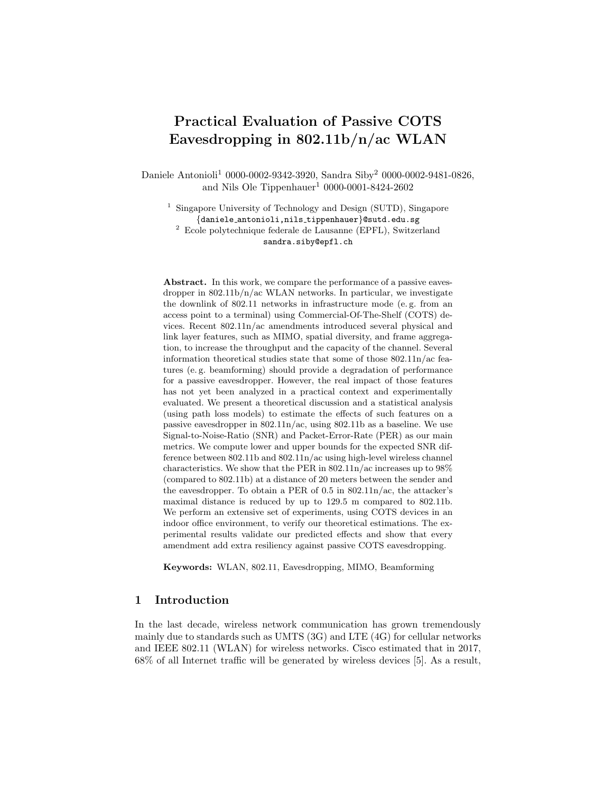# Practical Evaluation of Passive COTS Eavesdropping in 802.11b/n/ac WLAN

Daniele Antonioli<sup>1</sup> 0000-0002-9342-3920, Sandra Siby<sup>2</sup> 0000-0002-9481-0826, and Nils Ole Tippenhauer<sup>1</sup> 0000-0001-8424-2602

<sup>1</sup> Singapore University of Technology and Design (SUTD), Singapore {daniele antonioli,nils tippenhauer}@sutd.edu.sg  $^{\rm 2}$  Ecole polytechnique federale de Lausanne (EPFL), Switzerland sandra.siby@epfl.ch

Abstract. In this work, we compare the performance of a passive eavesdropper in 802.11b/n/ac WLAN networks. In particular, we investigate the downlink of 802.11 networks in infrastructure mode (e. g. from an access point to a terminal) using Commercial-Of-The-Shelf (COTS) devices. Recent 802.11n/ac amendments introduced several physical and link layer features, such as MIMO, spatial diversity, and frame aggregation, to increase the throughput and the capacity of the channel. Several information theoretical studies state that some of those 802.11n/ac features (e. g. beamforming) should provide a degradation of performance for a passive eavesdropper. However, the real impact of those features has not yet been analyzed in a practical context and experimentally evaluated. We present a theoretical discussion and a statistical analysis (using path loss models) to estimate the effects of such features on a passive eavesdropper in 802.11n/ac, using 802.11b as a baseline. We use Signal-to-Noise-Ratio (SNR) and Packet-Error-Rate (PER) as our main metrics. We compute lower and upper bounds for the expected SNR difference between 802.11b and 802.11n/ac using high-level wireless channel characteristics. We show that the PER in 802.11n/ac increases up to 98% (compared to 802.11b) at a distance of 20 meters between the sender and the eavesdropper. To obtain a PER of 0.5 in 802.11n/ac, the attacker's maximal distance is reduced by up to 129.5 m compared to 802.11b. We perform an extensive set of experiments, using COTS devices in an indoor office environment, to verify our theoretical estimations. The experimental results validate our predicted effects and show that every amendment add extra resiliency against passive COTS eavesdropping.

Keywords: WLAN, 802.11, Eavesdropping, MIMO, Beamforming

# 1 Introduction

In the last decade, wireless network communication has grown tremendously mainly due to standards such as UMTS (3G) and LTE (4G) for cellular networks and IEEE 802.11 (WLAN) for wireless networks. Cisco estimated that in 2017, 68% of all Internet traffic will be generated by wireless devices [5]. As a result,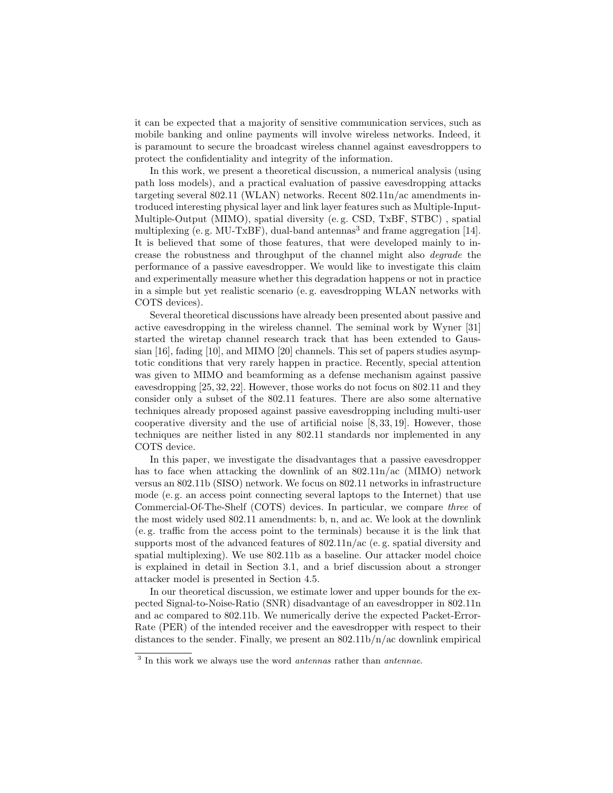it can be expected that a majority of sensitive communication services, such as mobile banking and online payments will involve wireless networks. Indeed, it is paramount to secure the broadcast wireless channel against eavesdroppers to protect the confidentiality and integrity of the information.

In this work, we present a theoretical discussion, a numerical analysis (using path loss models), and a practical evaluation of passive eavesdropping attacks targeting several 802.11 (WLAN) networks. Recent  $802.11n/ac$  amendments introduced interesting physical layer and link layer features such as Multiple-Input-Multiple-Output (MIMO), spatial diversity (e. g. CSD, TxBF, STBC) , spatial multiplexing (e.g.  $MU-TxBF$ ), dual-band antennas<sup>3</sup> and frame aggregation [14]. It is believed that some of those features, that were developed mainly to increase the robustness and throughput of the channel might also degrade the performance of a passive eavesdropper. We would like to investigate this claim and experimentally measure whether this degradation happens or not in practice in a simple but yet realistic scenario (e. g. eavesdropping WLAN networks with COTS devices).

Several theoretical discussions have already been presented about passive and active eavesdropping in the wireless channel. The seminal work by Wyner [31] started the wiretap channel research track that has been extended to Gaussian [16], fading [10], and MIMO [20] channels. This set of papers studies asymptotic conditions that very rarely happen in practice. Recently, special attention was given to MIMO and beamforming as a defense mechanism against passive eavesdropping [25, 32, 22]. However, those works do not focus on 802.11 and they consider only a subset of the 802.11 features. There are also some alternative techniques already proposed against passive eavesdropping including multi-user cooperative diversity and the use of artificial noise [8, 33, 19]. However, those techniques are neither listed in any 802.11 standards nor implemented in any COTS device.

In this paper, we investigate the disadvantages that a passive eavesdropper has to face when attacking the downlink of an 802.11n/ac (MIMO) network versus an 802.11b (SISO) network. We focus on 802.11 networks in infrastructure mode (e. g. an access point connecting several laptops to the Internet) that use Commercial-Of-The-Shelf (COTS) devices. In particular, we compare three of the most widely used 802.11 amendments: b, n, and ac. We look at the downlink (e. g. traffic from the access point to the terminals) because it is the link that supports most of the advanced features of  $802.11n/ac$  (e.g. spatial diversity and spatial multiplexing). We use 802.11b as a baseline. Our attacker model choice is explained in detail in Section 3.1, and a brief discussion about a stronger attacker model is presented in Section 4.5.

In our theoretical discussion, we estimate lower and upper bounds for the expected Signal-to-Noise-Ratio (SNR) disadvantage of an eavesdropper in 802.11n and ac compared to 802.11b. We numerically derive the expected Packet-Error-Rate (PER) of the intended receiver and the eavesdropper with respect to their distances to the sender. Finally, we present an  $802.11b/n/ac$  downlink empirical

 $3$  In this work we always use the word *antennas* rather than *antennae*.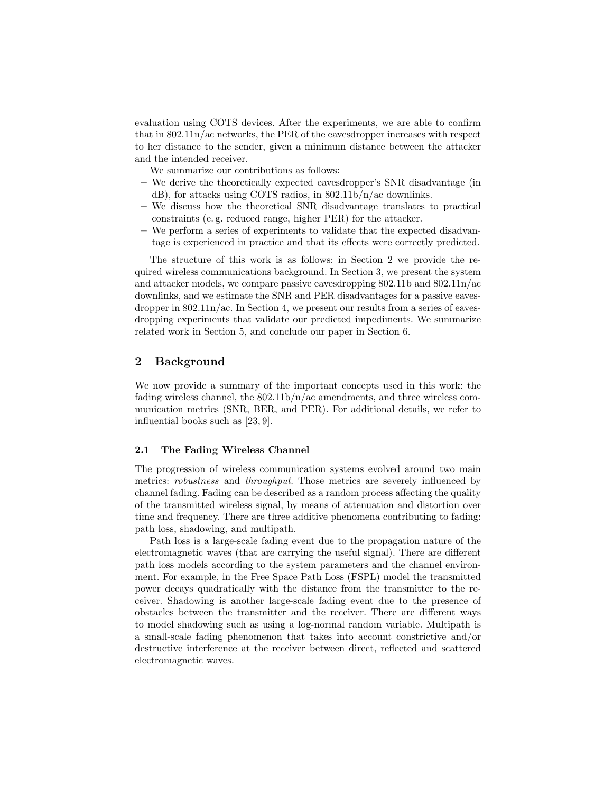evaluation using COTS devices. After the experiments, we are able to confirm that in 802.11n/ac networks, the PER of the eavesdropper increases with respect to her distance to the sender, given a minimum distance between the attacker and the intended receiver.

We summarize our contributions as follows:

- We derive the theoretically expected eavesdropper's SNR disadvantage (in dB), for attacks using COTS radios, in 802.11b/n/ac downlinks.
- We discuss how the theoretical SNR disadvantage translates to practical constraints (e. g. reduced range, higher PER) for the attacker.
- We perform a series of experiments to validate that the expected disadvantage is experienced in practice and that its effects were correctly predicted.

The structure of this work is as follows: in Section 2 we provide the required wireless communications background. In Section 3, we present the system and attacker models, we compare passive eavesdropping 802.11b and 802.11n/ac downlinks, and we estimate the SNR and PER disadvantages for a passive eavesdropper in 802.11n/ac. In Section 4, we present our results from a series of eavesdropping experiments that validate our predicted impediments. We summarize related work in Section 5, and conclude our paper in Section 6.

# 2 Background

We now provide a summary of the important concepts used in this work: the fading wireless channel, the  $802.11b/n/ac$  amendments, and three wireless communication metrics (SNR, BER, and PER). For additional details, we refer to influential books such as [23, 9].

### 2.1 The Fading Wireless Channel

The progression of wireless communication systems evolved around two main metrics: *robustness* and *throughput*. Those metrics are severely influenced by channel fading. Fading can be described as a random process affecting the quality of the transmitted wireless signal, by means of attenuation and distortion over time and frequency. There are three additive phenomena contributing to fading: path loss, shadowing, and multipath.

Path loss is a large-scale fading event due to the propagation nature of the electromagnetic waves (that are carrying the useful signal). There are different path loss models according to the system parameters and the channel environment. For example, in the Free Space Path Loss (FSPL) model the transmitted power decays quadratically with the distance from the transmitter to the receiver. Shadowing is another large-scale fading event due to the presence of obstacles between the transmitter and the receiver. There are different ways to model shadowing such as using a log-normal random variable. Multipath is a small-scale fading phenomenon that takes into account constrictive and/or destructive interference at the receiver between direct, reflected and scattered electromagnetic waves.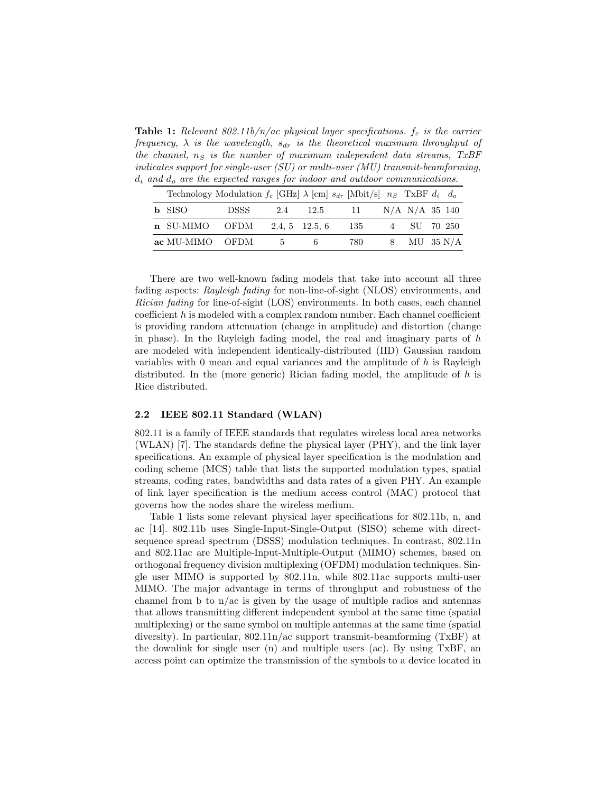**Table 1:** Relevant 802.11b/n/ac physical layer specifications.  $f_c$  is the carrier frequency,  $\lambda$  is the wavelength,  $s_{dr}$  is the theoretical maximum throughput of the channel,  $n<sub>S</sub>$  is the number of maximum independent data streams, TxBF indicates support for single-user (SU) or multi-user (MU) transmit-beamforming,  $d_i$  and  $d_o$  are the expected ranges for indoor and outdoor communications.

|                 |      |                  |          | Technology Modulation $f_c$ [GHz] $\lambda$ [cm] $s_{dr}$ [Mbit/s] $n_S$ TxBF $d_i$ $d_o$ |                    |  |
|-----------------|------|------------------|----------|-------------------------------------------------------------------------------------------|--------------------|--|
| <b>b</b> SISO   | DSSS |                  | 2.4 12.5 | $\sim$ 11                                                                                 | $N/A$ $N/A$ 35 140 |  |
| n SU-MIMO       | OFDM | $2.4, 5$ 12.5, 6 |          | 135                                                                                       | 4 SU 70 250        |  |
| ac MU-MIMO OFDM |      | 5                | 6        | 780                                                                                       | 8 MU 35 N/A        |  |

There are two well-known fading models that take into account all three fading aspects: Rayleigh fading for non-line-of-sight (NLOS) environments, and Rician fading for line-of-sight (LOS) environments. In both cases, each channel coefficient  $h$  is modeled with a complex random number. Each channel coefficient is providing random attenuation (change in amplitude) and distortion (change in phase). In the Rayleigh fading model, the real and imaginary parts of  $h$ are modeled with independent identically-distributed (IID) Gaussian random variables with 0 mean and equal variances and the amplitude of  $h$  is Rayleigh distributed. In the (more generic) Rician fading model, the amplitude of  $h$  is Rice distributed.

### 2.2 IEEE 802.11 Standard (WLAN)

802.11 is a family of IEEE standards that regulates wireless local area networks (WLAN) [7]. The standards define the physical layer (PHY), and the link layer specifications. An example of physical layer specification is the modulation and coding scheme (MCS) table that lists the supported modulation types, spatial streams, coding rates, bandwidths and data rates of a given PHY. An example of link layer specification is the medium access control (MAC) protocol that governs how the nodes share the wireless medium.

Table 1 lists some relevant physical layer specifications for 802.11b, n, and ac [14]. 802.11b uses Single-Input-Single-Output (SISO) scheme with directsequence spread spectrum (DSSS) modulation techniques. In contrast, 802.11n and 802.11ac are Multiple-Input-Multiple-Output (MIMO) schemes, based on orthogonal frequency division multiplexing (OFDM) modulation techniques. Single user MIMO is supported by 802.11n, while 802.11ac supports multi-user MIMO. The major advantage in terms of throughput and robustness of the channel from b to  $n/ac$  is given by the usage of multiple radios and antennas that allows transmitting different independent symbol at the same time (spatial multiplexing) or the same symbol on multiple antennas at the same time (spatial diversity). In particular, 802.11n/ac support transmit-beamforming (TxBF) at the downlink for single user (n) and multiple users (ac). By using TxBF, an access point can optimize the transmission of the symbols to a device located in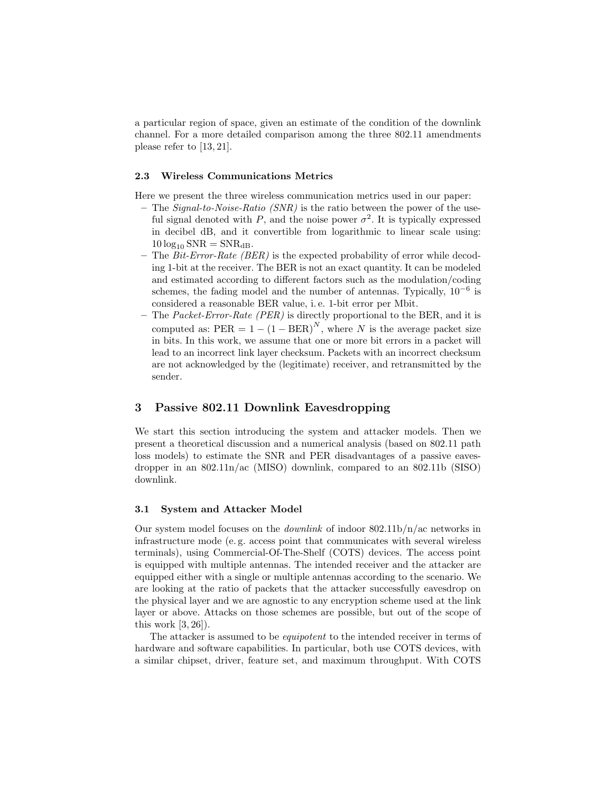a particular region of space, given an estimate of the condition of the downlink channel. For a more detailed comparison among the three 802.11 amendments please refer to [13, 21].

### 2.3 Wireless Communications Metrics

Here we present the three wireless communication metrics used in our paper:

- The Signal-to-Noise-Ratio (SNR) is the ratio between the power of the useful signal denoted with P, and the noise power  $\sigma^2$ . It is typically expressed in decibel dB, and it convertible from logarithmic to linear scale using:  $10 \log_{10} \text{SNR} = \text{SNR}_{dB}$ .
- The  $Bit\text{-}Error\text{-}Rate$  (BER) is the expected probability of error while decoding 1-bit at the receiver. The BER is not an exact quantity. It can be modeled and estimated according to different factors such as the modulation/coding schemes, the fading model and the number of antennas. Typically, 10<sup>−</sup><sup>6</sup> is considered a reasonable BER value, i. e. 1-bit error per Mbit.
- The Packet-Error-Rate (PER) is directly proportional to the BER, and it is computed as:  $PER = 1 - (1 - BER)^N$ , where N is the average packet size in bits. In this work, we assume that one or more bit errors in a packet will lead to an incorrect link layer checksum. Packets with an incorrect checksum are not acknowledged by the (legitimate) receiver, and retransmitted by the sender.

# 3 Passive 802.11 Downlink Eavesdropping

We start this section introducing the system and attacker models. Then we present a theoretical discussion and a numerical analysis (based on 802.11 path loss models) to estimate the SNR and PER disadvantages of a passive eavesdropper in an 802.11n/ac (MISO) downlink, compared to an 802.11b (SISO) downlink.

#### 3.1 System and Attacker Model

Our system model focuses on the *downlink* of indoor  $802.11b/n/ac$  networks in infrastructure mode (e. g. access point that communicates with several wireless terminals), using Commercial-Of-The-Shelf (COTS) devices. The access point is equipped with multiple antennas. The intended receiver and the attacker are equipped either with a single or multiple antennas according to the scenario. We are looking at the ratio of packets that the attacker successfully eavesdrop on the physical layer and we are agnostic to any encryption scheme used at the link layer or above. Attacks on those schemes are possible, but out of the scope of this work [3, 26]).

The attacker is assumed to be equipotent to the intended receiver in terms of hardware and software capabilities. In particular, both use COTS devices, with a similar chipset, driver, feature set, and maximum throughput. With COTS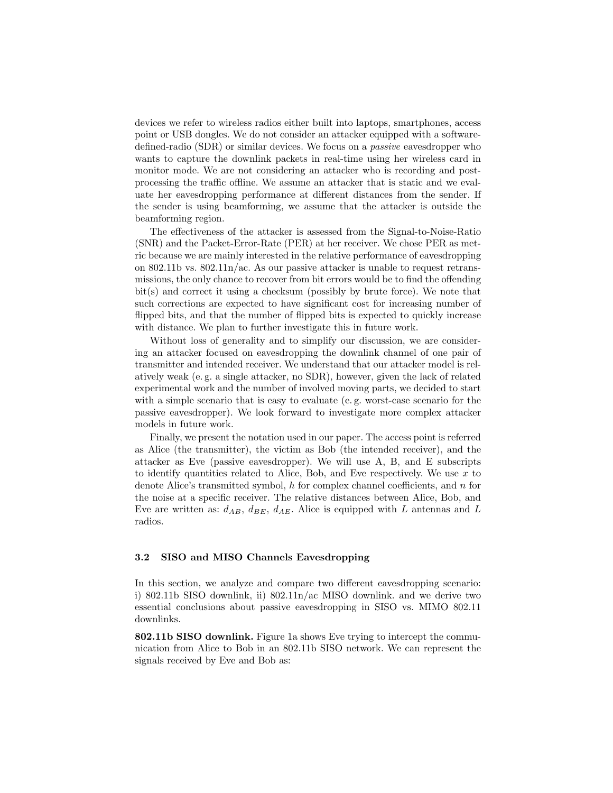devices we refer to wireless radios either built into laptops, smartphones, access point or USB dongles. We do not consider an attacker equipped with a softwaredefined-radio (SDR) or similar devices. We focus on a passive eavesdropper who wants to capture the downlink packets in real-time using her wireless card in monitor mode. We are not considering an attacker who is recording and postprocessing the traffic offline. We assume an attacker that is static and we evaluate her eavesdropping performance at different distances from the sender. If the sender is using beamforming, we assume that the attacker is outside the beamforming region.

The effectiveness of the attacker is assessed from the Signal-to-Noise-Ratio (SNR) and the Packet-Error-Rate (PER) at her receiver. We chose PER as metric because we are mainly interested in the relative performance of eavesdropping on 802.11b vs. 802.11n/ac. As our passive attacker is unable to request retransmissions, the only chance to recover from bit errors would be to find the offending bit(s) and correct it using a checksum (possibly by brute force). We note that such corrections are expected to have significant cost for increasing number of flipped bits, and that the number of flipped bits is expected to quickly increase with distance. We plan to further investigate this in future work.

Without loss of generality and to simplify our discussion, we are considering an attacker focused on eavesdropping the downlink channel of one pair of transmitter and intended receiver. We understand that our attacker model is relatively weak (e. g. a single attacker, no SDR), however, given the lack of related experimental work and the number of involved moving parts, we decided to start with a simple scenario that is easy to evaluate (e. g. worst-case scenario for the passive eavesdropper). We look forward to investigate more complex attacker models in future work.

Finally, we present the notation used in our paper. The access point is referred as Alice (the transmitter), the victim as Bob (the intended receiver), and the attacker as Eve (passive eavesdropper). We will use A, B, and E subscripts to identify quantities related to Alice, Bob, and Eve respectively. We use  $x$  to denote Alice's transmitted symbol, h for complex channel coefficients, and n for the noise at a specific receiver. The relative distances between Alice, Bob, and Eve are written as:  $d_{AB}$ ,  $d_{BE}$ ,  $d_{AE}$ . Alice is equipped with L antennas and L radios.

### 3.2 SISO and MISO Channels Eavesdropping

In this section, we analyze and compare two different eavesdropping scenario: i) 802.11b SISO downlink, ii) 802.11n/ac MISO downlink. and we derive two essential conclusions about passive eavesdropping in SISO vs. MIMO 802.11 downlinks.

802.11b SISO downlink. Figure 1a shows Eve trying to intercept the communication from Alice to Bob in an 802.11b SISO network. We can represent the signals received by Eve and Bob as: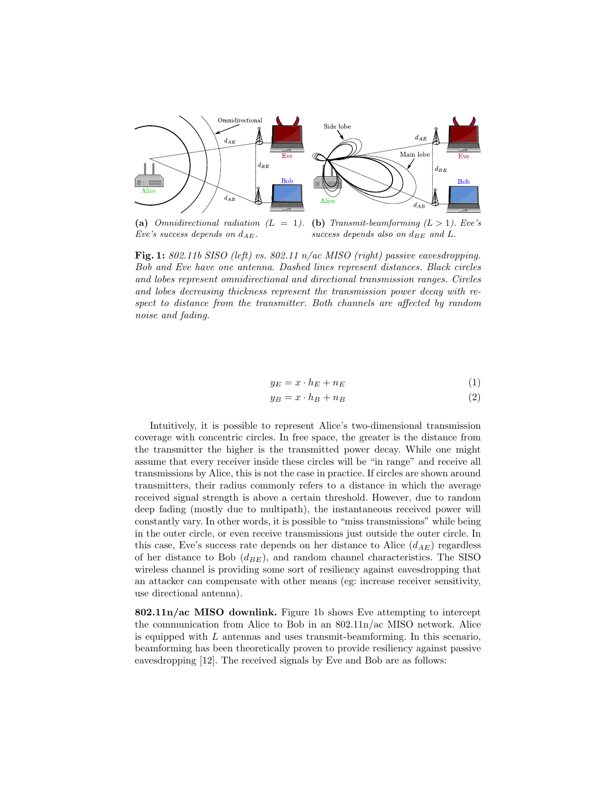

(a) Omnidirectional radiation  $(L = 1)$ . Eve's success depends on  $d_{AE}$ . (b) Transmit-beamforming  $(L > 1)$ . Eve's success depends also on  $d_{BE}$  and L.

Fig. 1: 802.11b SISO (left) vs. 802.11  $n/ac$  MISO (right) passive eavesdropping. Bob and Eve have one antenna. Dashed lines represent distances. Black circles and lobes represent omnidirectional and directional transmission ranges. Circles and lobes decreasing thickness represent the transmission power decay with respect to distance from the transmitter. Both channels are affected by random noise and fading.

$$
y_E = x \cdot h_E + n_E \tag{1}
$$

$$
y_B = x \cdot h_B + n_B \tag{2}
$$

Intuitively, it is possible to represent Alice's two-dimensional transmission coverage with concentric circles. In free space, the greater is the distance from the transmitter the higher is the transmitted power decay. While one might assume that every receiver inside these circles will be "in range" and receive all transmissions by Alice, this is not the case in practice. If circles are shown around transmitters, their radius commonly refers to a distance in which the average received signal strength is above a certain threshold. However, due to random deep fading (mostly due to multipath), the instantaneous received power will constantly vary. In other words, it is possible to "miss transmissions" while being in the outer circle, or even receive transmissions just outside the outer circle. In this case, Eve's success rate depends on her distance to Alice  $(d_{AE})$  regardless of her distance to Bob  $(d_{BE})$ , and random channel characteristics. The SISO wireless channel is providing some sort of resiliency against eavesdropping that an attacker can compensate with other means (eg: increase receiver sensitivity, use directional antenna).

802.11n/ac MISO downlink. Figure 1b shows Eve attempting to intercept the communication from Alice to Bob in an 802.11n/ac MISO network. Alice is equipped with L antennas and uses transmit-beamforming. In this scenario, beamforming has been theoretically proven to provide resiliency against passive eavesdropping [12]. The received signals by Eve and Bob are as follows: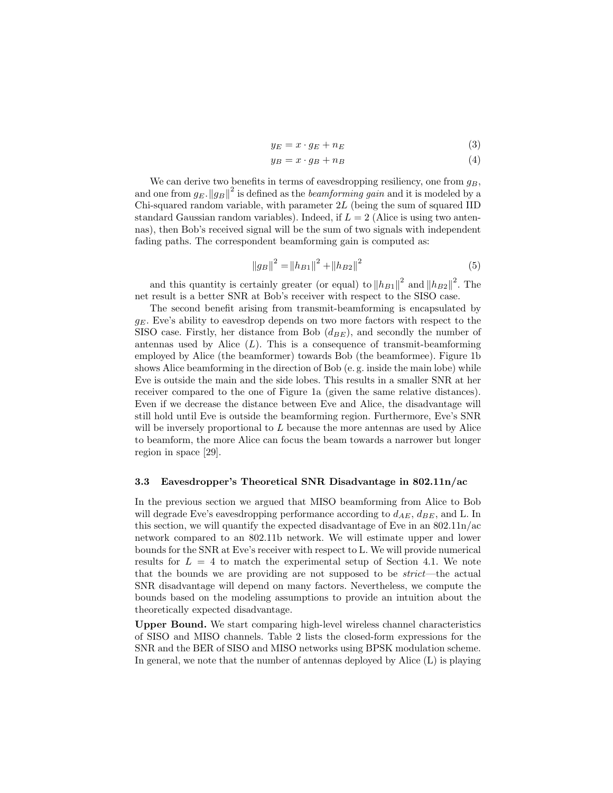$$
y_E = x \cdot g_E + n_E \tag{3}
$$

$$
y_B = x \cdot g_B + n_B \tag{4}
$$

We can derive two benefits in terms of eavesdropping resiliency, one from  $g_B$ , and one from  $g_E$ .  $||g_B||^2$  is defined as the *beamforming gain* and it is modeled by a Chi-squared random variable, with parameter  $2L$  (being the sum of squared IID) standard Gaussian random variables). Indeed, if  $L = 2$  (Alice is using two antennas), then Bob's received signal will be the sum of two signals with independent fading paths. The correspondent beamforming gain is computed as:

$$
||g_B||^2 = ||h_{B1}||^2 + ||h_{B2}||^2
$$
\n(5)

and this quantity is certainly greater (or equal) to  $||h_{B1}||^2$  and  $||h_{B2}||^2$ . The net result is a better SNR at Bob's receiver with respect to the SISO case.

The second benefit arising from transmit-beamforming is encapsulated by  $q_E$ . Eve's ability to eavesdrop depends on two more factors with respect to the SISO case. Firstly, her distance from Bob  $(d_{BE})$ , and secondly the number of antennas used by Alice  $(L)$ . This is a consequence of transmit-beamforming employed by Alice (the beamformer) towards Bob (the beamformee). Figure 1b shows Alice beamforming in the direction of Bob (e. g. inside the main lobe) while Eve is outside the main and the side lobes. This results in a smaller SNR at her receiver compared to the one of Figure 1a (given the same relative distances). Even if we decrease the distance between Eve and Alice, the disadvantage will still hold until Eve is outside the beamforming region. Furthermore, Eve's SNR will be inversely proportional to L because the more antennas are used by Alice to beamform, the more Alice can focus the beam towards a narrower but longer region in space [29].

### 3.3 Eavesdropper's Theoretical SNR Disadvantage in 802.11n/ac

In the previous section we argued that MISO beamforming from Alice to Bob will degrade Eve's eavesdropping performance according to  $d_{AE}$ ,  $d_{BE}$ , and L. In this section, we will quantify the expected disadvantage of Eve in an  $802.11n/ac$ network compared to an 802.11b network. We will estimate upper and lower bounds for the SNR at Eve's receiver with respect to L. We will provide numerical results for  $L = 4$  to match the experimental setup of Section 4.1. We note that the bounds we are providing are not supposed to be strict—the actual SNR disadvantage will depend on many factors. Nevertheless, we compute the bounds based on the modeling assumptions to provide an intuition about the theoretically expected disadvantage.

Upper Bound. We start comparing high-level wireless channel characteristics of SISO and MISO channels. Table 2 lists the closed-form expressions for the SNR and the BER of SISO and MISO networks using BPSK modulation scheme. In general, we note that the number of antennas deployed by Alice (L) is playing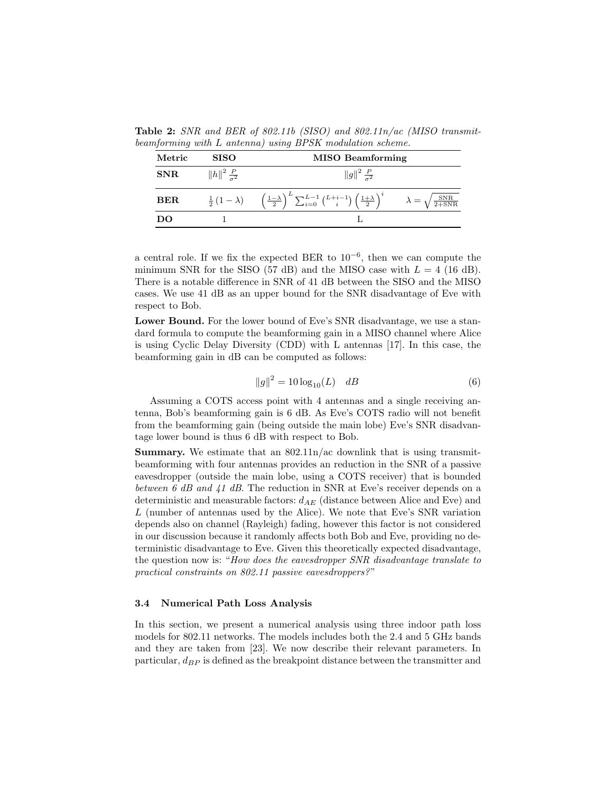Table 2: SNR and BER of 802.11b (SISO) and 802.11n/ac (MISO transmitbeamforming with L antenna) using BPSK modulation scheme.

| Metric     | <b>MISO</b> Beamforming<br><b>SISO</b>                       |                                                                                                                                    |                                                    |  |  |
|------------|--------------------------------------------------------------|------------------------------------------------------------------------------------------------------------------------------------|----------------------------------------------------|--|--|
| SNR        | $  h  ^2 \frac{P}{\sigma^2}$<br>$  g  ^2 \frac{P}{\sigma^2}$ |                                                                                                                                    |                                                    |  |  |
| <b>BER</b> |                                                              | $\frac{1}{2}(1-\lambda)$ $\left(\frac{1-\lambda}{2}\right)^L \sum_{i=0}^{L-1} \binom{L+i-1}{i} \left(\frac{1+\lambda}{2}\right)^i$ | $\lambda = \sqrt{\frac{\text{SNR}}{2+\text{SNR}}}$ |  |  |
| DΟ         |                                                              |                                                                                                                                    |                                                    |  |  |

a central role. If we fix the expected BER to  $10^{-6}$ , then we can compute the minimum SNR for the SISO (57 dB) and the MISO case with  $L = 4$  (16 dB). There is a notable difference in SNR of 41 dB between the SISO and the MISO cases. We use 41 dB as an upper bound for the SNR disadvantage of Eve with respect to Bob.

Lower Bound. For the lower bound of Eve's SNR disadvantage, we use a standard formula to compute the beamforming gain in a MISO channel where Alice is using Cyclic Delay Diversity (CDD) with L antennas [17]. In this case, the beamforming gain in dB can be computed as follows:

$$
||g||^2 = 10\log_{10}(L) \quad dB \tag{6}
$$

Assuming a COTS access point with 4 antennas and a single receiving antenna, Bob's beamforming gain is 6 dB. As Eve's COTS radio will not benefit from the beamforming gain (being outside the main lobe) Eve's SNR disadvantage lower bound is thus 6 dB with respect to Bob.

**Summary.** We estimate that an  $802.11n/ac$  downlink that is using transmitbeamforming with four antennas provides an reduction in the SNR of a passive eavesdropper (outside the main lobe, using a COTS receiver) that is bounded between 6 dB and 41 dB. The reduction in SNR at Eve's receiver depends on a deterministic and measurable factors:  $d_{AE}$  (distance between Alice and Eve) and L (number of antennas used by the Alice). We note that Eve's SNR variation depends also on channel (Rayleigh) fading, however this factor is not considered in our discussion because it randomly affects both Bob and Eve, providing no deterministic disadvantage to Eve. Given this theoretically expected disadvantage, the question now is: "How does the eavesdropper SNR disadvantage translate to practical constraints on 802.11 passive eavesdroppers?"

#### 3.4 Numerical Path Loss Analysis

In this section, we present a numerical analysis using three indoor path loss models for 802.11 networks. The models includes both the 2.4 and 5 GHz bands and they are taken from [23]. We now describe their relevant parameters. In particular,  $d_{BP}$  is defined as the breakpoint distance between the transmitter and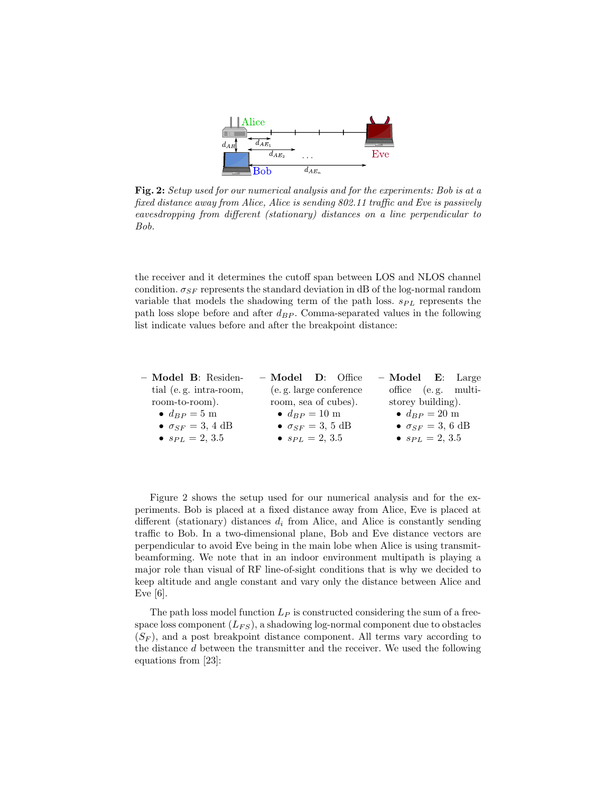

Fig. 2: Setup used for our numerical analysis and for the experiments: Bob is at a fixed distance away from Alice, Alice is sending 802.11 traffic and Eve is passively eavesdropping from different (stationary) distances on a line perpendicular to Bob.

the receiver and it determines the cutoff span between LOS and NLOS channel condition.  $\sigma_{SF}$  represents the standard deviation in dB of the log-normal random variable that models the shadowing term of the path loss.  $s_{PL}$  represents the path loss slope before and after  $d_{BP}$ . Comma-separated values in the following list indicate values before and after the breakpoint distance:

| - Model B: Residen-                       | $-$ Model D: Office                       | $-$ Model E: Large                        |
|-------------------------------------------|-------------------------------------------|-------------------------------------------|
| tial (e.g. intra-room,                    | (e.g. large conference)                   | office (e.g. multi-                       |
| room-to-room).                            | room, sea of cubes).                      | storey building).                         |
| $d_{BP} = 5 \text{ m}$                    | $d_{BP} = 10 \text{ m}$                   | $d_{BP} = 20$ m                           |
| $\bullet$ $\sigma_{SF} = 3, 4 \text{ dB}$ | $\bullet$ $\sigma_{SF} = 3, 5 \text{ dB}$ | $\bullet$ $\sigma_{SF} = 3, 6 \text{ dB}$ |
| • $s_{PL} = 2, 3.5$                       | • $s_{PL} = 2, 3.5$                       | • $s_{PL} = 2, 3.5$                       |

Figure 2 shows the setup used for our numerical analysis and for the experiments. Bob is placed at a fixed distance away from Alice, Eve is placed at different (stationary) distances  $d_i$  from Alice, and Alice is constantly sending traffic to Bob. In a two-dimensional plane, Bob and Eve distance vectors are perpendicular to avoid Eve being in the main lobe when Alice is using transmitbeamforming. We note that in an indoor environment multipath is playing a major role than visual of RF line-of-sight conditions that is why we decided to keep altitude and angle constant and vary only the distance between Alice and Eve  $[6]$ .

The path loss model function  $L_P$  is constructed considering the sum of a freespace loss component  $(L_{FS})$ , a shadowing log-normal component due to obstacles  $(S_F)$ , and a post breakpoint distance component. All terms vary according to the distance d between the transmitter and the receiver. We used the following equations from [23]: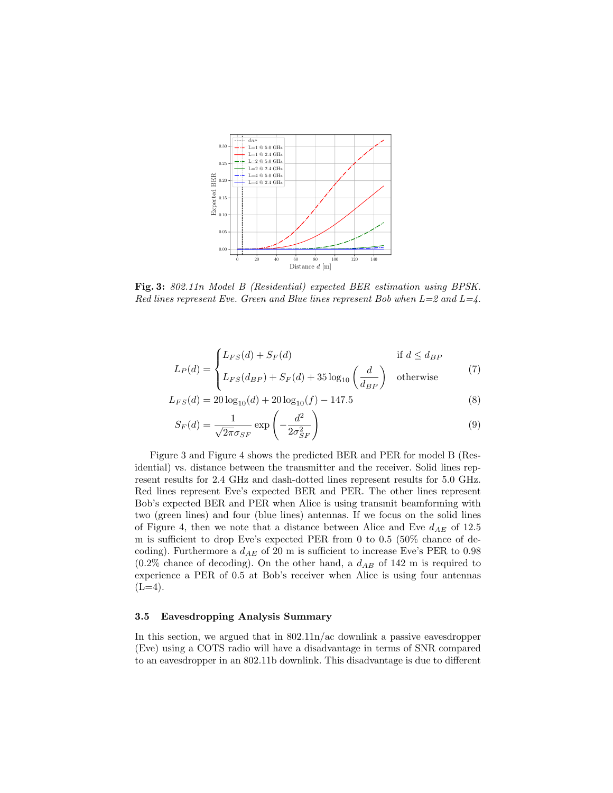

Fig. 3: 802.11n Model B (Residential) expected BER estimation using BPSK. Red lines represent Eve. Green and Blue lines represent Bob when  $L=2$  and  $L=4$ .

$$
L_P(d) = \begin{cases} L_{FS}(d) + S_F(d) & \text{if } d \le d_{BP} \\ L_{FS}(d_{BP}) + S_F(d) + 35 \log_{10} \left(\frac{d}{d_{BP}}\right) & \text{otherwise} \end{cases} \tag{7}
$$

$$
L_{FS}(d) = 20\log_{10}(d) + 20\log_{10}(f) - 147.5\tag{8}
$$

$$
S_F(d) = \frac{1}{\sqrt{2\pi}\sigma_{SF}} \exp\left(-\frac{d^2}{2\sigma_{SF}^2}\right)
$$
\n(9)

Figure 3 and Figure 4 shows the predicted BER and PER for model B (Residential) vs. distance between the transmitter and the receiver. Solid lines represent results for 2.4 GHz and dash-dotted lines represent results for 5.0 GHz. Red lines represent Eve's expected BER and PER. The other lines represent Bob's expected BER and PER when Alice is using transmit beamforming with two (green lines) and four (blue lines) antennas. If we focus on the solid lines of Figure 4, then we note that a distance between Alice and Eve  $d_{AE}$  of 12.5 m is sufficient to drop Eve's expected PER from 0 to 0.5 (50% chance of decoding). Furthermore a  $d_{AE}$  of 20 m is sufficient to increase Eve's PER to 0.98  $(0.2\%$  chance of decoding). On the other hand, a  $d_{AB}$  of 142 m is required to experience a PER of 0.5 at Bob's receiver when Alice is using four antennas  $(L=4)$ .

### 3.5 Eavesdropping Analysis Summary

In this section, we argued that in 802.11n/ac downlink a passive eavesdropper (Eve) using a COTS radio will have a disadvantage in terms of SNR compared to an eavesdropper in an 802.11b downlink. This disadvantage is due to different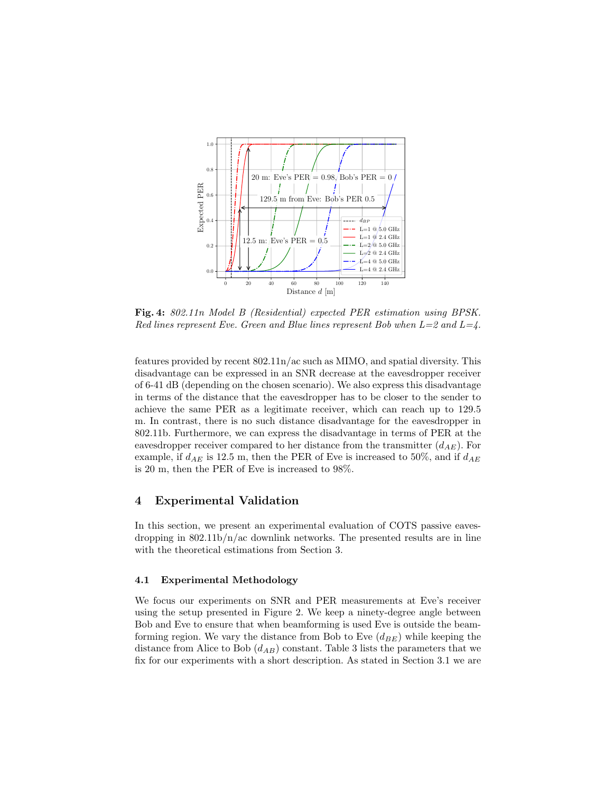

Fig. 4: 802.11n Model B (Residential) expected PER estimation using BPSK. Red lines represent Eve. Green and Blue lines represent Bob when  $L=2$  and  $L=4$ .

features provided by recent 802.11n/ac such as MIMO, and spatial diversity. This disadvantage can be expressed in an SNR decrease at the eavesdropper receiver of 6-41 dB (depending on the chosen scenario). We also express this disadvantage in terms of the distance that the eavesdropper has to be closer to the sender to achieve the same PER as a legitimate receiver, which can reach up to 129.5 m. In contrast, there is no such distance disadvantage for the eavesdropper in 802.11b. Furthermore, we can express the disadvantage in terms of PER at the eavesdropper receiver compared to her distance from the transmitter  $(d_{AE})$ . For example, if  $d_{AE}$  is 12.5 m, then the PER of Eve is increased to 50%, and if  $d_{AE}$ is 20 m, then the PER of Eve is increased to 98%.

# 4 Experimental Validation

In this section, we present an experimental evaluation of COTS passive eavesdropping in  $802.11b/n/ac$  downlink networks. The presented results are in line with the theoretical estimations from Section 3.

### 4.1 Experimental Methodology

We focus our experiments on SNR and PER measurements at Eve's receiver using the setup presented in Figure 2. We keep a ninety-degree angle between Bob and Eve to ensure that when beamforming is used Eve is outside the beamforming region. We vary the distance from Bob to Eve  $(d_{BE})$  while keeping the distance from Alice to Bob  $(d_{AB})$  constant. Table 3 lists the parameters that we fix for our experiments with a short description. As stated in Section 3.1 we are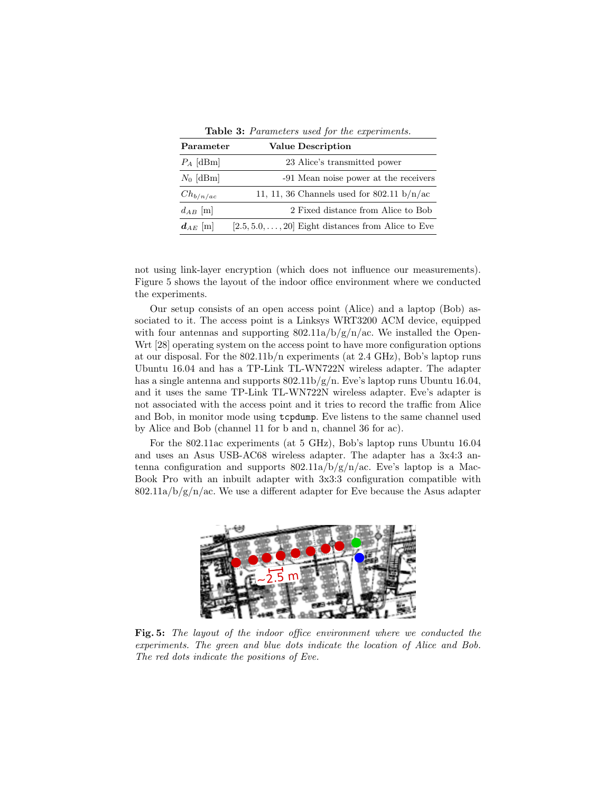| Parameter     | <b>Value Description</b>                                   |
|---------------|------------------------------------------------------------|
| $P_A$ [dBm]   | 23 Alice's transmitted power                               |
| $N_0$ [dBm]   | -91 Mean noise power at the receivers                      |
| $Ch_{b/n/ac}$ | 11, 11, 36 Channels used for 802.11 b/n/ac                 |
| $d_{AB}$ [m]  | 2 Fixed distance from Alice to Bob                         |
| $d_{AE}$ [m]  | $[2.5, 5.0, \ldots, 20]$ Eight distances from Alice to Eve |

Table 3: Parameters used for the experiments.

not using link-layer encryption (which does not influence our measurements). Figure 5 shows the layout of the indoor office environment where we conducted the experiments.

Our setup consists of an open access point (Alice) and a laptop (Bob) associated to it. The access point is a Linksys WRT3200 ACM device, equipped with four antennas and supporting  $802.11a/b/g/n/ac$ . We installed the Open-Wrt [28] operating system on the access point to have more configuration options at our disposal. For the 802.11b/n experiments (at 2.4 GHz), Bob's laptop runs Ubuntu 16.04 and has a TP-Link TL-WN722N wireless adapter. The adapter has a single antenna and supports 802.11b/g/n. Eve's laptop runs Ubuntu 16.04, and it uses the same TP-Link TL-WN722N wireless adapter. Eve's adapter is not associated with the access point and it tries to record the traffic from Alice and Bob, in monitor mode using tcpdump. Eve listens to the same channel used by Alice and Bob (channel 11 for b and n, channel 36 for ac).

For the 802.11ac experiments (at 5 GHz), Bob's laptop runs Ubuntu 16.04 and uses an Asus USB-AC68 wireless adapter. The adapter has a 3x4:3 antenna configuration and supports  $802.11a/b/g/n/ac$ . Eve's laptop is a Mac-Book Pro with an inbuilt adapter with 3x3:3 configuration compatible with  $802.11a/b/g/n/ac$ . We use a different adapter for Eve because the Asus adapter



Fig. 5: The layout of the indoor office environment where we conducted the experiments. The green and blue dots indicate the location of Alice and Bob. The red dots indicate the positions of Eve.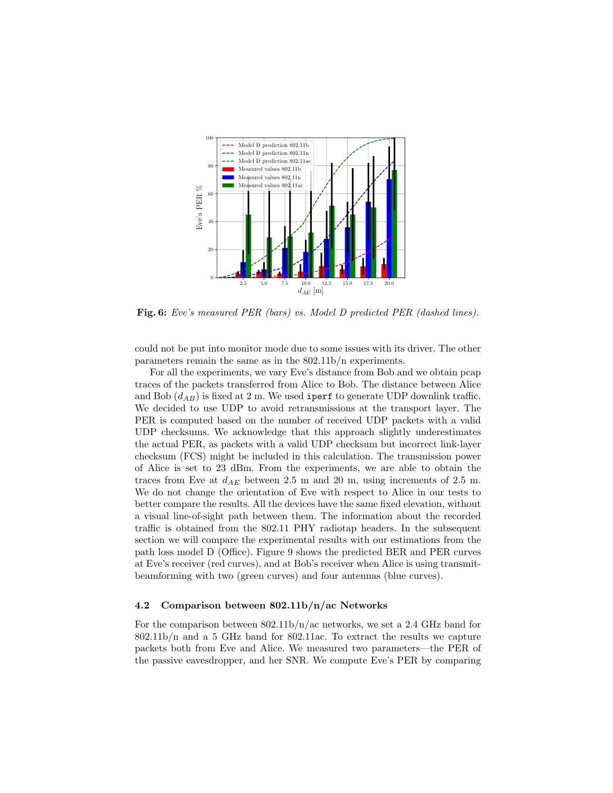

Fig. 6: Eve's measured PER (bars) vs. Model D predicted PER (dashed lines).

could not be put into monitor mode due to some issues with its driver. The other parameters remain the same as in the 802.11b/n experiments.

For all the experiments, we vary Eve's distance from Bob and we obtain pcap traces of the packets transferred from Alice to Bob. The distance between Alice and Bob  $(d_{AB})$  is fixed at 2 m. We used iperf to generate UDP downlink traffic. We decided to use UDP to avoid retransmissions at the transport layer. The PER is computed based on the number of received UDP packets with a valid UDP checksums. We acknowledge that this approach slightly underestimates the actual PER, as packets with a valid UDP checksum but incorrect link-layer checksum (FCS) might be included in this calculation. The transmission power of Alice is set to 23 dBm. From the experiments, we are able to obtain the traces from Eve at  $d_{AE}$  between 2.5 m and 20 m, using increments of 2.5 m. We do not change the orientation of Eve with respect to Alice in our tests to better compare the results. All the devices have the same fixed elevation, without a visual line-of-sight path between them. The information about the recorded traffic is obtained from the 802.11 PHY radiotap headers. In the subsequent section we will compare the experimental results with our estimations from the path loss model D (Office). Figure 9 shows the predicted BER and PER curves at Eve's receiver (red curves), and at Bob's receiver when Alice is using transmitbeamforming with two (green curves) and four antennas (blue curves).

### 4.2 Comparison between 802.11b/n/ac Networks

For the comparison between  $802.11b/n/ac$  networks, we set a 2.4 GHz band for 802.11b/n and a 5 GHz band for 802.11ac. To extract the results we capture packets both from Eve and Alice. We measured two parameters—the PER of the passive eavesdropper, and her SNR. We compute Eve's PER by comparing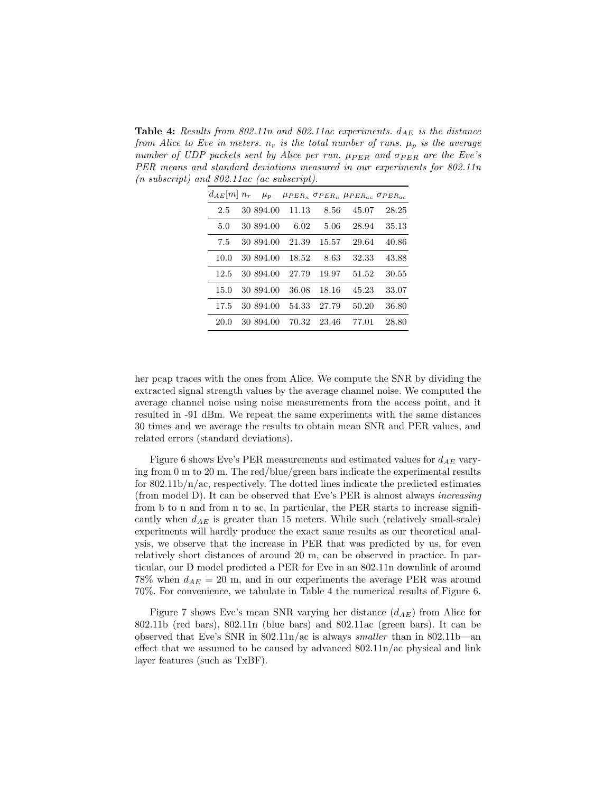Table 4: Results from 802.11n and 802.11ac experiments.  $d_{AE}$  is the distance from Alice to Eve in meters.  $n_r$  is the total number of runs.  $\mu_p$  is the average number of UDP packets sent by Alice per run.  $\mu_{PER}$  and  $\sigma_{PER}$  are the Eve's PER means and standard deviations measured in our experiments for 802.11n (n subscript) and 802.11ac (ac subscript).

| $d_{AE}[m]$ $n_r$ | $\mu_p$   |       |       | $\mu_{PER_n}$ $\sigma_{PER_n}$ $\mu_{PER_{ac}}$ $\sigma_{PER_{ac}}$ |       |
|-------------------|-----------|-------|-------|---------------------------------------------------------------------|-------|
| 2.5               | 30 894.00 | 11.13 | 8.56  | 45.07                                                               | 28.25 |
| 5.0               | 30 894.00 | 6.02  | 5.06  | 28.94                                                               | 35.13 |
| 7.5               | 30 894.00 | 21.39 | 15.57 | 29.64                                                               | 40.86 |
| 10.0              | 30 894.00 | 18.52 | 8.63  | 32.33                                                               | 43.88 |
| 12.5              | 30 894.00 | 27.79 | 19.97 | 51.52                                                               | 30.55 |
| 15.0              | 30 894.00 | 36.08 | 18.16 | 45.23                                                               | 33.07 |
| 17.5              | 30 894.00 | 54.33 | 27.79 | 50.20                                                               | 36.80 |
| 20.0              | 30 894.00 | 70.32 | 23.46 | 77.01                                                               | 28.80 |

her pcap traces with the ones from Alice. We compute the SNR by dividing the extracted signal strength values by the average channel noise. We computed the average channel noise using noise measurements from the access point, and it resulted in -91 dBm. We repeat the same experiments with the same distances 30 times and we average the results to obtain mean SNR and PER values, and related errors (standard deviations).

Figure 6 shows Eve's PER measurements and estimated values for  $d_{AE}$  varying from 0 m to 20 m. The red/blue/green bars indicate the experimental results for  $802.11b/n/ac$ , respectively. The dotted lines indicate the predicted estimates (from model D). It can be observed that Eve's PER is almost always increasing from b to n and from n to ac. In particular, the PER starts to increase significantly when  $d_{AE}$  is greater than 15 meters. While such (relatively small-scale) experiments will hardly produce the exact same results as our theoretical analysis, we observe that the increase in PER that was predicted by us, for even relatively short distances of around 20 m, can be observed in practice. In particular, our D model predicted a PER for Eve in an 802.11n downlink of around 78% when  $d_{AE} = 20$  m, and in our experiments the average PER was around 70%. For convenience, we tabulate in Table 4 the numerical results of Figure 6.

Figure 7 shows Eve's mean SNR varying her distance  $(d_{AE})$  from Alice for 802.11b (red bars), 802.11n (blue bars) and 802.11ac (green bars). It can be observed that Eve's SNR in  $802.11n/ac$  is always *smaller* than in  $802.11b$ —an effect that we assumed to be caused by advanced 802.11n/ac physical and link layer features (such as TxBF).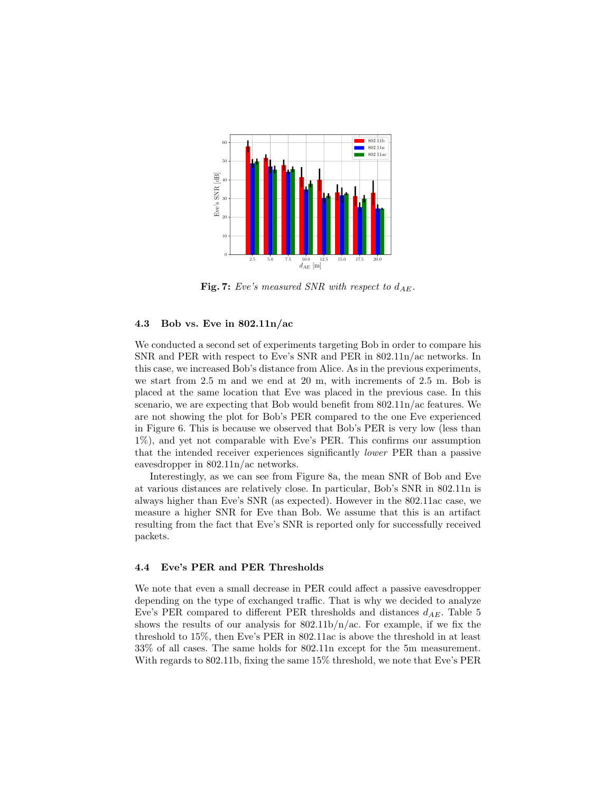

Fig. 7: Eve's measured SNR with respect to  $d_{AE}$ .

### 4.3 Bob vs. Eve in 802.11n/ac

We conducted a second set of experiments targeting Bob in order to compare his SNR and PER with respect to Eve's SNR and PER in 802.11n/ac networks. In this case, we increased Bob's distance from Alice. As in the previous experiments, we start from 2.5 m and we end at 20 m, with increments of 2.5 m. Bob is placed at the same location that Eve was placed in the previous case. In this scenario, we are expecting that Bob would benefit from  $802.11n/ac$  features. We are not showing the plot for Bob's PER compared to the one Eve experienced in Figure 6. This is because we observed that Bob's PER is very low (less than 1%), and yet not comparable with Eve's PER. This confirms our assumption that the intended receiver experiences significantly lower PER than a passive eavesdropper in 802.11n/ac networks.

Interestingly, as we can see from Figure 8a, the mean SNR of Bob and Eve at various distances are relatively close. In particular, Bob's SNR in 802.11n is always higher than Eve's SNR (as expected). However in the 802.11ac case, we measure a higher SNR for Eve than Bob. We assume that this is an artifact resulting from the fact that Eve's SNR is reported only for successfully received packets.

### 4.4 Eve's PER and PER Thresholds

We note that even a small decrease in PER could affect a passive eavesdropper depending on the type of exchanged traffic. That is why we decided to analyze Eve's PER compared to different PER thresholds and distances  $d_{AE}$ . Table 5 shows the results of our analysis for  $802.11b/n/ac$ . For example, if we fix the threshold to 15%, then Eve's PER in 802.11ac is above the threshold in at least 33% of all cases. The same holds for 802.11n except for the 5m measurement. With regards to 802.11b, fixing the same 15% threshold, we note that Eve's PER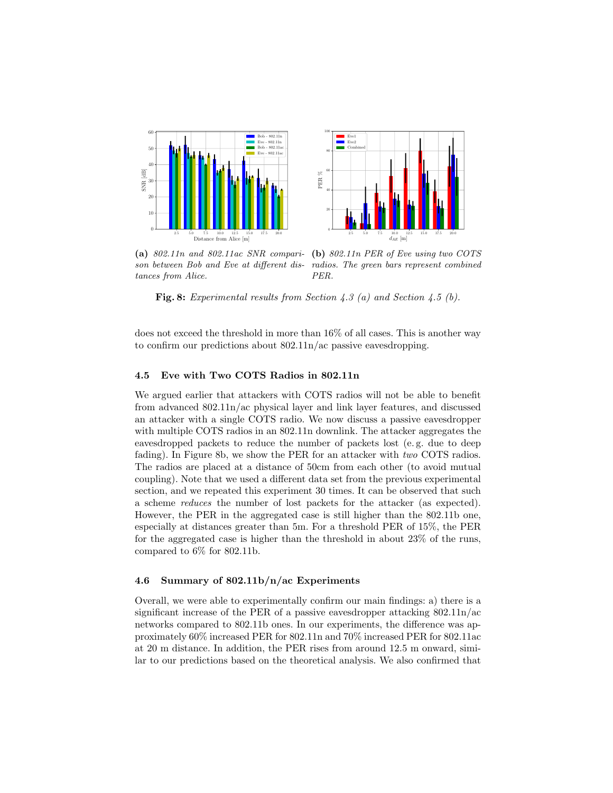

(a) 802.11n and 802.11ac SNR comparison between Bob and Eve at different distances from Alice. (b) 802.11n PER of Eve using two COTS radios. The green bars represent combined PER.

Fig. 8: Experimental results from Section 4.3 (a) and Section 4.5 (b).

does not exceed the threshold in more than 16% of all cases. This is another way to confirm our predictions about 802.11n/ac passive eavesdropping.

### 4.5 Eve with Two COTS Radios in 802.11n

We argued earlier that attackers with COTS radios will not be able to benefit from advanced 802.11n/ac physical layer and link layer features, and discussed an attacker with a single COTS radio. We now discuss a passive eavesdropper with multiple COTS radios in an 802.11n downlink. The attacker aggregates the eavesdropped packets to reduce the number of packets lost (e. g. due to deep fading). In Figure 8b, we show the PER for an attacker with two COTS radios. The radios are placed at a distance of 50cm from each other (to avoid mutual coupling). Note that we used a different data set from the previous experimental section, and we repeated this experiment 30 times. It can be observed that such a scheme reduces the number of lost packets for the attacker (as expected). However, the PER in the aggregated case is still higher than the 802.11b one, especially at distances greater than 5m. For a threshold PER of 15%, the PER for the aggregated case is higher than the threshold in about 23% of the runs, compared to 6% for 802.11b.

### 4.6 Summary of 802.11b/n/ac Experiments

Overall, we were able to experimentally confirm our main findings: a) there is a significant increase of the PER of a passive eavesdropper attacking  $802.11n/ac$ networks compared to 802.11b ones. In our experiments, the difference was approximately 60% increased PER for 802.11n and 70% increased PER for 802.11ac at 20 m distance. In addition, the PER rises from around 12.5 m onward, similar to our predictions based on the theoretical analysis. We also confirmed that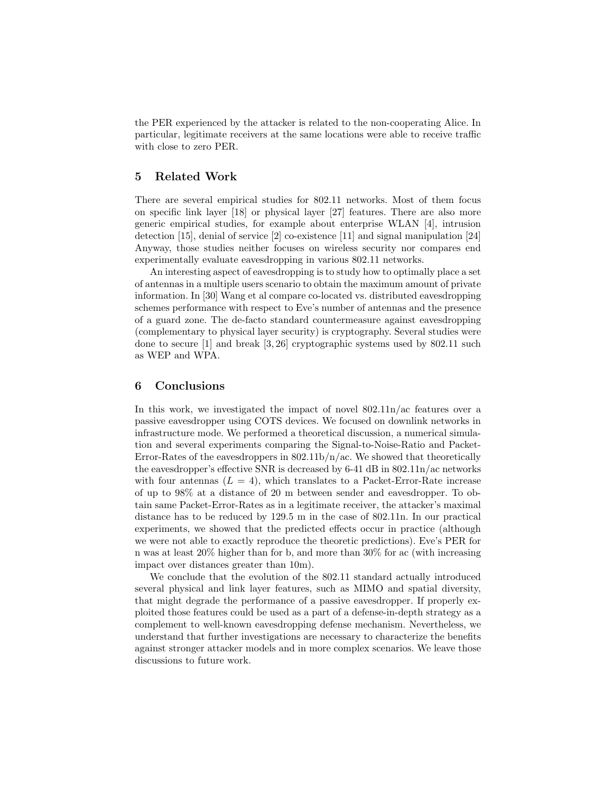the PER experienced by the attacker is related to the non-cooperating Alice. In particular, legitimate receivers at the same locations were able to receive traffic with close to zero PER.

# 5 Related Work

There are several empirical studies for 802.11 networks. Most of them focus on specific link layer [18] or physical layer [27] features. There are also more generic empirical studies, for example about enterprise WLAN [4], intrusion detection [15], denial of service [2] co-existence [11] and signal manipulation [24] Anyway, those studies neither focuses on wireless security nor compares end experimentally evaluate eavesdropping in various 802.11 networks.

An interesting aspect of eavesdropping is to study how to optimally place a set of antennas in a multiple users scenario to obtain the maximum amount of private information. In [30] Wang et al compare co-located vs. distributed eavesdropping schemes performance with respect to Eve's number of antennas and the presence of a guard zone. The de-facto standard countermeasure against eavesdropping (complementary to physical layer security) is cryptography. Several studies were done to secure [1] and break [3, 26] cryptographic systems used by 802.11 such as WEP and WPA.

# 6 Conclusions

In this work, we investigated the impact of novel 802.11n/ac features over a passive eavesdropper using COTS devices. We focused on downlink networks in infrastructure mode. We performed a theoretical discussion, a numerical simulation and several experiments comparing the Signal-to-Noise-Ratio and Packet-Error-Rates of the eavesdroppers in  $802.11b/n/ac$ . We showed that theoretically the eavesdropper's effective SNR is decreased by  $6-41$  dB in  $802.11n/ac$  networks with four antennas  $(L = 4)$ , which translates to a Packet-Error-Rate increase of up to 98% at a distance of 20 m between sender and eavesdropper. To obtain same Packet-Error-Rates as in a legitimate receiver, the attacker's maximal distance has to be reduced by 129.5 m in the case of 802.11n. In our practical experiments, we showed that the predicted effects occur in practice (although we were not able to exactly reproduce the theoretic predictions). Eve's PER for n was at least 20% higher than for b, and more than 30% for ac (with increasing impact over distances greater than 10m).

We conclude that the evolution of the 802.11 standard actually introduced several physical and link layer features, such as MIMO and spatial diversity, that might degrade the performance of a passive eavesdropper. If properly exploited those features could be used as a part of a defense-in-depth strategy as a complement to well-known eavesdropping defense mechanism. Nevertheless, we understand that further investigations are necessary to characterize the benefits against stronger attacker models and in more complex scenarios. We leave those discussions to future work.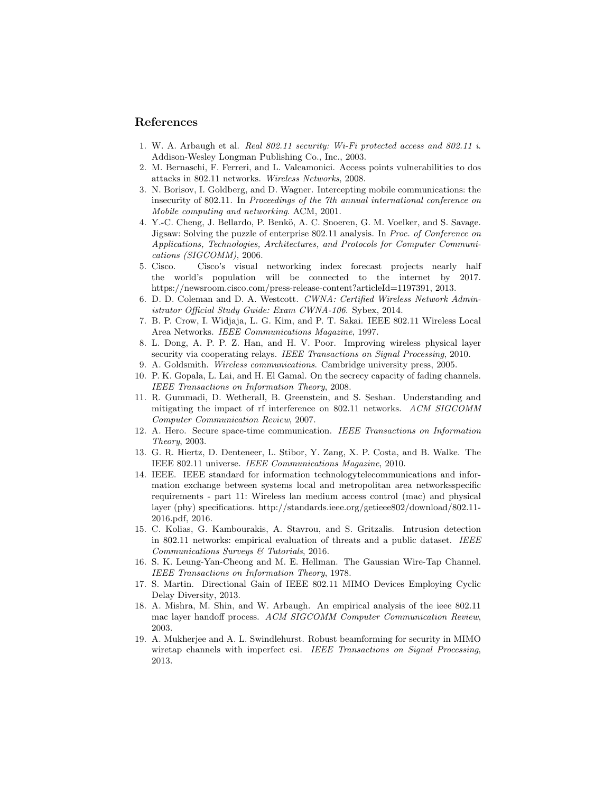### References

- 1. W. A. Arbaugh et al. Real 802.11 security: Wi-Fi protected access and 802.11 i. Addison-Wesley Longman Publishing Co., Inc., 2003.
- 2. M. Bernaschi, F. Ferreri, and L. Valcamonici. Access points vulnerabilities to dos attacks in 802.11 networks. Wireless Networks, 2008.
- 3. N. Borisov, I. Goldberg, and D. Wagner. Intercepting mobile communications: the insecurity of 802.11. In Proceedings of the 7th annual international conference on Mobile computing and networking. ACM, 2001.
- 4. Y.-C. Cheng, J. Bellardo, P. Benkö, A. C. Snoeren, G. M. Voelker, and S. Savage. Jigsaw: Solving the puzzle of enterprise 802.11 analysis. In Proc. of Conference on Applications, Technologies, Architectures, and Protocols for Computer Communications (SIGCOMM), 2006.
- 5. Cisco. Cisco's visual networking index forecast projects nearly half the world's population will be connected to the internet by 2017. https://newsroom.cisco.com/press-release-content?articleId=1197391, 2013.
- 6. D. D. Coleman and D. A. Westcott. CWNA: Certified Wireless Network Administrator Official Study Guide: Exam CWNA-106. Sybex, 2014.
- 7. B. P. Crow, I. Widjaja, L. G. Kim, and P. T. Sakai. IEEE 802.11 Wireless Local Area Networks. IEEE Communications Magazine, 1997.
- 8. L. Dong, A. P. P. Z. Han, and H. V. Poor. Improving wireless physical layer security via cooperating relays. IEEE Transactions on Signal Processing, 2010.
- 9. A. Goldsmith. Wireless communications. Cambridge university press, 2005.
- 10. P. K. Gopala, L. Lai, and H. El Gamal. On the secrecy capacity of fading channels. IEEE Transactions on Information Theory, 2008.
- 11. R. Gummadi, D. Wetherall, B. Greenstein, and S. Seshan. Understanding and mitigating the impact of rf interference on 802.11 networks. ACM SIGCOMM Computer Communication Review, 2007.
- 12. A. Hero. Secure space-time communication. IEEE Transactions on Information Theory, 2003.
- 13. G. R. Hiertz, D. Denteneer, L. Stibor, Y. Zang, X. P. Costa, and B. Walke. The IEEE 802.11 universe. IEEE Communications Magazine, 2010.
- 14. IEEE. IEEE standard for information technologytelecommunications and information exchange between systems local and metropolitan area networksspecific requirements - part 11: Wireless lan medium access control (mac) and physical layer (phy) specifications. http://standards.ieee.org/getieee802/download/802.11- 2016.pdf, 2016.
- 15. C. Kolias, G. Kambourakis, A. Stavrou, and S. Gritzalis. Intrusion detection in 802.11 networks: empirical evaluation of threats and a public dataset. IEEE Communications Surveys & Tutorials, 2016.
- 16. S. K. Leung-Yan-Cheong and M. E. Hellman. The Gaussian Wire-Tap Channel. IEEE Transactions on Information Theory, 1978.
- 17. S. Martin. Directional Gain of IEEE 802.11 MIMO Devices Employing Cyclic Delay Diversity, 2013.
- 18. A. Mishra, M. Shin, and W. Arbaugh. An empirical analysis of the ieee 802.11 mac layer handoff process. ACM SIGCOMM Computer Communication Review, 2003.
- 19. A. Mukherjee and A. L. Swindlehurst. Robust beamforming for security in MIMO wiretap channels with imperfect csi. IEEE Transactions on Signal Processing, 2013.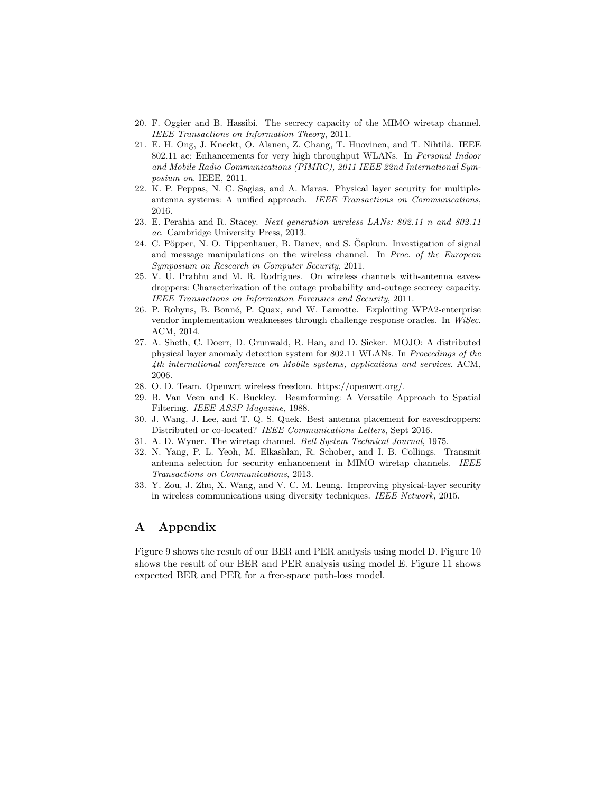- 20. F. Oggier and B. Hassibi. The secrecy capacity of the MIMO wiretap channel. IEEE Transactions on Information Theory, 2011.
- 21. E. H. Ong, J. Kneckt, O. Alanen, Z. Chang, T. Huovinen, and T. Nihtilä. IEEE 802.11 ac: Enhancements for very high throughput WLANs. In Personal Indoor and Mobile Radio Communications (PIMRC), 2011 IEEE 22nd International Symposium on. IEEE, 2011.
- 22. K. P. Peppas, N. C. Sagias, and A. Maras. Physical layer security for multipleantenna systems: A unified approach. IEEE Transactions on Communications, 2016.
- 23. E. Perahia and R. Stacey. Next generation wireless LANs: 802.11 n and 802.11 ac. Cambridge University Press, 2013.
- 24. C. Pöpper, N. O. Tippenhauer, B. Danev, and S. Čapkun. Investigation of signal and message manipulations on the wireless channel. In Proc. of the European Symposium on Research in Computer Security, 2011.
- 25. V. U. Prabhu and M. R. Rodrigues. On wireless channels with-antenna eavesdroppers: Characterization of the outage probability and-outage secrecy capacity. IEEE Transactions on Information Forensics and Security, 2011.
- 26. P. Robyns, B. Bonn´e, P. Quax, and W. Lamotte. Exploiting WPA2-enterprise vendor implementation weaknesses through challenge response oracles. In WiSec. ACM, 2014.
- 27. A. Sheth, C. Doerr, D. Grunwald, R. Han, and D. Sicker. MOJO: A distributed physical layer anomaly detection system for 802.11 WLANs. In Proceedings of the 4th international conference on Mobile systems, applications and services. ACM, 2006.
- 28. O. D. Team. Openwrt wireless freedom. https://openwrt.org/.
- 29. B. Van Veen and K. Buckley. Beamforming: A Versatile Approach to Spatial Filtering. IEEE ASSP Magazine, 1988.
- 30. J. Wang, J. Lee, and T. Q. S. Quek. Best antenna placement for eavesdroppers: Distributed or co-located? IEEE Communications Letters, Sept 2016.
- 31. A. D. Wyner. The wiretap channel. Bell System Technical Journal, 1975.
- 32. N. Yang, P. L. Yeoh, M. Elkashlan, R. Schober, and I. B. Collings. Transmit antenna selection for security enhancement in MIMO wiretap channels. IEEE Transactions on Communications, 2013.
- 33. Y. Zou, J. Zhu, X. Wang, and V. C. M. Leung. Improving physical-layer security in wireless communications using diversity techniques. IEEE Network, 2015.

# A Appendix

Figure 9 shows the result of our BER and PER analysis using model D. Figure 10 shows the result of our BER and PER analysis using model E. Figure 11 shows expected BER and PER for a free-space path-loss model.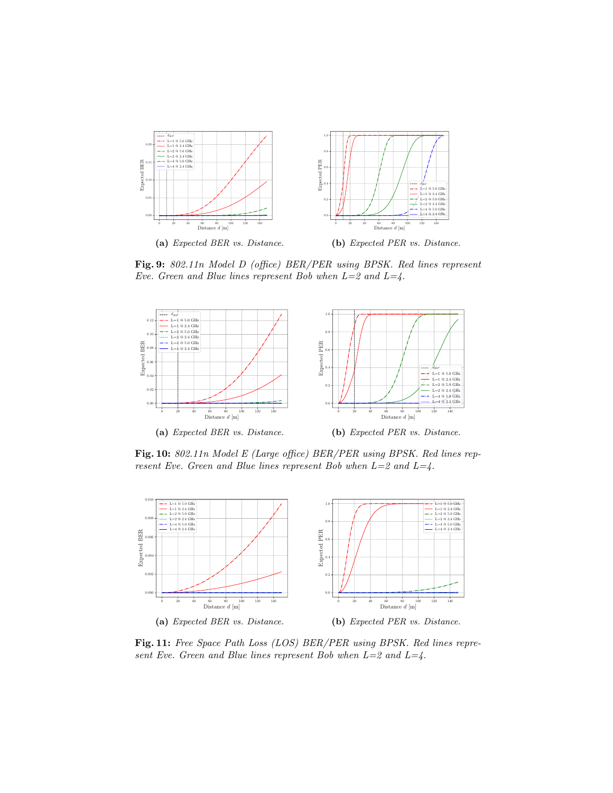

Fig. 9: 802.11n Model D (office) BER/PER using BPSK. Red lines represent Eve. Green and Blue lines represent Bob when  $L=2$  and  $L=4$ .



Fig. 10: 802.11n Model E (Large office) BER/PER using BPSK. Red lines represent Eve. Green and Blue lines represent Bob when  $L=2$  and  $L=4$ .



Fig. 11: Free Space Path Loss (LOS) BER/PER using BPSK. Red lines represent Eve. Green and Blue lines represent Bob when  $L=2$  and  $L=4$ .